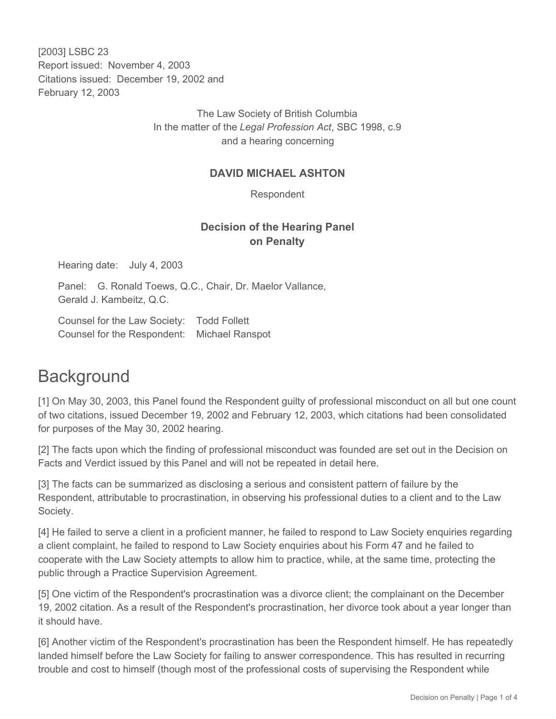[2003] LSBC 23 Report issued: November 4, 2003 Citations issued: December 19, 2002 and February 12, 2003

> The Law Society of British Columbia In the matter of the *Legal Profession Act*, SBC 1998, c.9 and a hearing concerning

### **DAVID MICHAEL ASHTON**

Respondent

## **Decision of the Hearing Panel on Penalty**

Hearing date: July 4, 2003

Panel: G. Ronald Toews, Q.C., Chair, Dr. Maelor Vallance, Gerald J. Kambeitz, Q.C.

Counsel for the Law Society: Todd Follett Counsel for the Respondent: Michael Ranspot

# **Background**

[1] On May 30, 2003, this Panel found the Respondent guilty of professional misconduct on all but one count of two citations, issued December 19, 2002 and February 12, 2003, which citations had been consolidated for purposes of the May 30, 2002 hearing.

[2] The facts upon which the finding of professional misconduct was founded are set out in the Decision on Facts and Verdict issued by this Panel and will not be repeated in detail here.

[3] The facts can be summarized as disclosing a serious and consistent pattern of failure by the Respondent, attributable to procrastination, in observing his professional duties to a client and to the Law Society.

[4] He failed to serve a client in a proficient manner, he failed to respond to Law Society enquiries regarding a client complaint, he failed to respond to Law Society enquiries about his Form 47 and he failed to cooperate with the Law Society attempts to allow him to practice, while, at the same time, protecting the public through a Practice Supervision Agreement.

[5] One victim of the Respondent's procrastination was a divorce client; the complainant on the December 19, 2002 citation. As a result of the Respondent's procrastination, her divorce took about a year longer than it should have.

[6] Another victim of the Respondent's procrastination has been the Respondent himself. He has repeatedly landed himself before the Law Society for failing to answer correspondence. This has resulted in recurring trouble and cost to himself (though most of the professional costs of supervising the Respondent while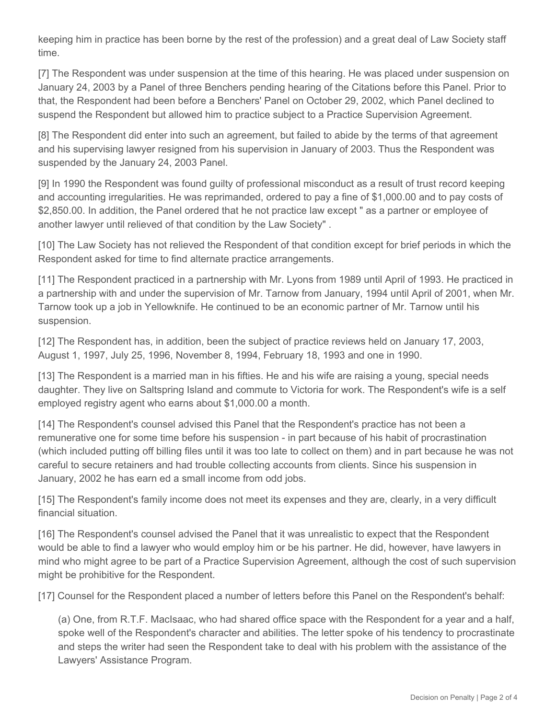keeping him in practice has been borne by the rest of the profession) and a great deal of Law Society staff time.

[7] The Respondent was under suspension at the time of this hearing. He was placed under suspension on January 24, 2003 by a Panel of three Benchers pending hearing of the Citations before this Panel. Prior to that, the Respondent had been before a Benchers' Panel on October 29, 2002, which Panel declined to suspend the Respondent but allowed him to practice subject to a Practice Supervision Agreement.

[8] The Respondent did enter into such an agreement, but failed to abide by the terms of that agreement and his supervising lawyer resigned from his supervision in January of 2003. Thus the Respondent was suspended by the January 24, 2003 Panel.

[9] In 1990 the Respondent was found guilty of professional misconduct as a result of trust record keeping and accounting irregularities. He was reprimanded, ordered to pay a fine of \$1,000.00 and to pay costs of \$2,850.00. In addition, the Panel ordered that he not practice law except " as a partner or employee of another lawyer until relieved of that condition by the Law Society" .

[10] The Law Society has not relieved the Respondent of that condition except for brief periods in which the Respondent asked for time to find alternate practice arrangements.

[11] The Respondent practiced in a partnership with Mr. Lyons from 1989 until April of 1993. He practiced in a partnership with and under the supervision of Mr. Tarnow from January, 1994 until April of 2001, when Mr. Tarnow took up a job in Yellowknife. He continued to be an economic partner of Mr. Tarnow until his suspension.

[12] The Respondent has, in addition, been the subject of practice reviews held on January 17, 2003, August 1, 1997, July 25, 1996, November 8, 1994, February 18, 1993 and one in 1990.

[13] The Respondent is a married man in his fifties. He and his wife are raising a young, special needs daughter. They live on Saltspring Island and commute to Victoria for work. The Respondent's wife is a self employed registry agent who earns about \$1,000.00 a month.

[14] The Respondent's counsel advised this Panel that the Respondent's practice has not been a remunerative one for some time before his suspension - in part because of his habit of procrastination (which included putting off billing files until it was too late to collect on them) and in part because he was not careful to secure retainers and had trouble collecting accounts from clients. Since his suspension in January, 2002 he has earn ed a small income from odd jobs.

[15] The Respondent's family income does not meet its expenses and they are, clearly, in a very difficult financial situation.

[16] The Respondent's counsel advised the Panel that it was unrealistic to expect that the Respondent would be able to find a lawyer who would employ him or be his partner. He did, however, have lawyers in mind who might agree to be part of a Practice Supervision Agreement, although the cost of such supervision might be prohibitive for the Respondent.

[17] Counsel for the Respondent placed a number of letters before this Panel on the Respondent's behalf:

(a) One, from R.T.F. MacIsaac, who had shared office space with the Respondent for a year and a half, spoke well of the Respondent's character and abilities. The letter spoke of his tendency to procrastinate and steps the writer had seen the Respondent take to deal with his problem with the assistance of the Lawyers' Assistance Program.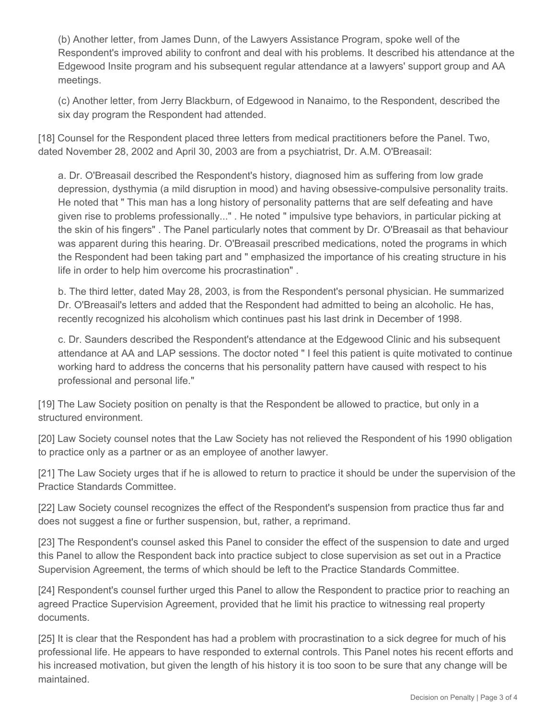(b) Another letter, from James Dunn, of the Lawyers Assistance Program, spoke well of the Respondent's improved ability to confront and deal with his problems. It described his attendance at the Edgewood Insite program and his subsequent regular attendance at a lawyers' support group and AA meetings.

(c) Another letter, from Jerry Blackburn, of Edgewood in Nanaimo, to the Respondent, described the six day program the Respondent had attended.

[18] Counsel for the Respondent placed three letters from medical practitioners before the Panel. Two, dated November 28, 2002 and April 30, 2003 are from a psychiatrist, Dr. A.M. O'Breasail:

a. Dr. O'Breasail described the Respondent's history, diagnosed him as suffering from low grade depression, dysthymia (a mild disruption in mood) and having obsessive-compulsive personality traits. He noted that " This man has a long history of personality patterns that are self defeating and have given rise to problems professionally..." . He noted " impulsive type behaviors, in particular picking at the skin of his fingers" . The Panel particularly notes that comment by Dr. O'Breasail as that behaviour was apparent during this hearing. Dr. O'Breasail prescribed medications, noted the programs in which the Respondent had been taking part and " emphasized the importance of his creating structure in his life in order to help him overcome his procrastination" .

b. The third letter, dated May 28, 2003, is from the Respondent's personal physician. He summarized Dr. O'Breasail's letters and added that the Respondent had admitted to being an alcoholic. He has, recently recognized his alcoholism which continues past his last drink in December of 1998.

c. Dr. Saunders described the Respondent's attendance at the Edgewood Clinic and his subsequent attendance at AA and LAP sessions. The doctor noted " I feel this patient is quite motivated to continue working hard to address the concerns that his personality pattern have caused with respect to his professional and personal life."

[19] The Law Society position on penalty is that the Respondent be allowed to practice, but only in a structured environment.

[20] Law Society counsel notes that the Law Society has not relieved the Respondent of his 1990 obligation to practice only as a partner or as an employee of another lawyer.

[21] The Law Society urges that if he is allowed to return to practice it should be under the supervision of the Practice Standards Committee.

[22] Law Society counsel recognizes the effect of the Respondent's suspension from practice thus far and does not suggest a fine or further suspension, but, rather, a reprimand.

[23] The Respondent's counsel asked this Panel to consider the effect of the suspension to date and urged this Panel to allow the Respondent back into practice subject to close supervision as set out in a Practice Supervision Agreement, the terms of which should be left to the Practice Standards Committee.

[24] Respondent's counsel further urged this Panel to allow the Respondent to practice prior to reaching an agreed Practice Supervision Agreement, provided that he limit his practice to witnessing real property documents.

[25] It is clear that the Respondent has had a problem with procrastination to a sick degree for much of his professional life. He appears to have responded to external controls. This Panel notes his recent efforts and his increased motivation, but given the length of his history it is too soon to be sure that any change will be maintained.